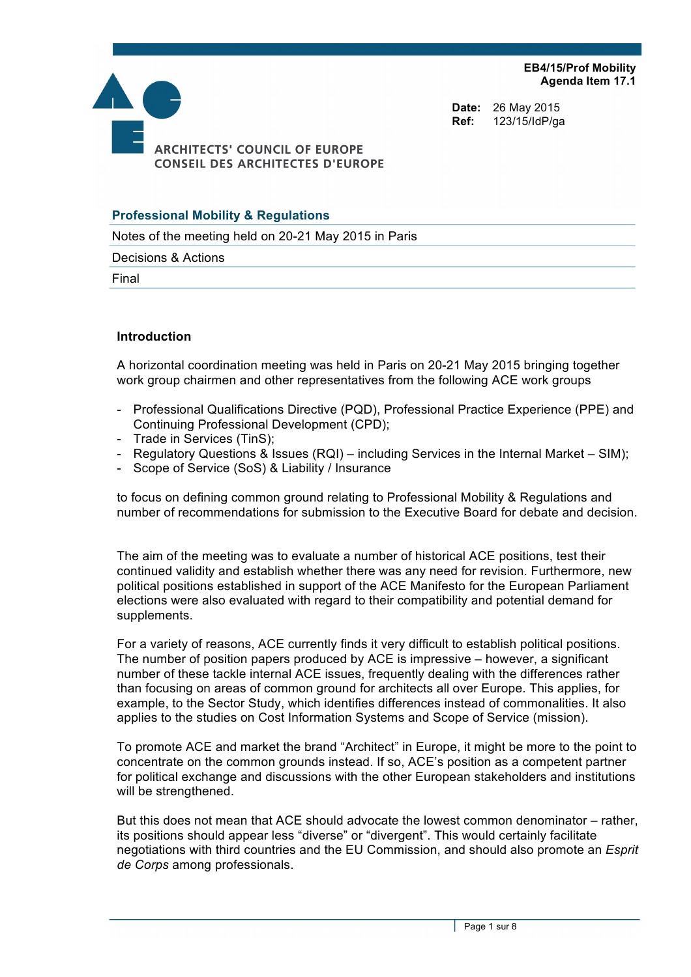**EB4/15/Prof Mobility Agenda Item 17.1**



**Date:** 26 May 2015 **Ref:** 123/15/IdP/ga

## **Professional Mobility & Regulations**

Notes of the meeting held on 20-21 May 2015 in Paris

Decisions & Actions

Final

#### **Introduction**

A horizontal coordination meeting was held in Paris on 20-21 May 2015 bringing together work group chairmen and other representatives from the following ACE work groups

- Professional Qualifications Directive (PQD), Professional Practice Experience (PPE) and Continuing Professional Development (CPD);
- Trade in Services (TinS);
- Regulatory Questions & Issues (RQI) including Services in the Internal Market SIM);
- Scope of Service (SoS) & Liability / Insurance

to focus on defining common ground relating to Professional Mobility & Regulations and number of recommendations for submission to the Executive Board for debate and decision.

The aim of the meeting was to evaluate a number of historical ACE positions, test their continued validity and establish whether there was any need for revision. Furthermore, new political positions established in support of the ACE Manifesto for the European Parliament elections were also evaluated with regard to their compatibility and potential demand for supplements.

For a variety of reasons, ACE currently finds it very difficult to establish political positions. The number of position papers produced by ACE is impressive – however, a significant number of these tackle internal ACE issues, frequently dealing with the differences rather than focusing on areas of common ground for architects all over Europe. This applies, for example, to the Sector Study, which identifies differences instead of commonalities. It also applies to the studies on Cost Information Systems and Scope of Service (mission).

To promote ACE and market the brand "Architect" in Europe, it might be more to the point to concentrate on the common grounds instead. If so, ACE's position as a competent partner for political exchange and discussions with the other European stakeholders and institutions will be strengthened.

But this does not mean that ACE should advocate the lowest common denominator – rather, its positions should appear less "diverse" or "divergent". This would certainly facilitate negotiations with third countries and the EU Commission, and should also promote an *Esprit de Corps* among professionals.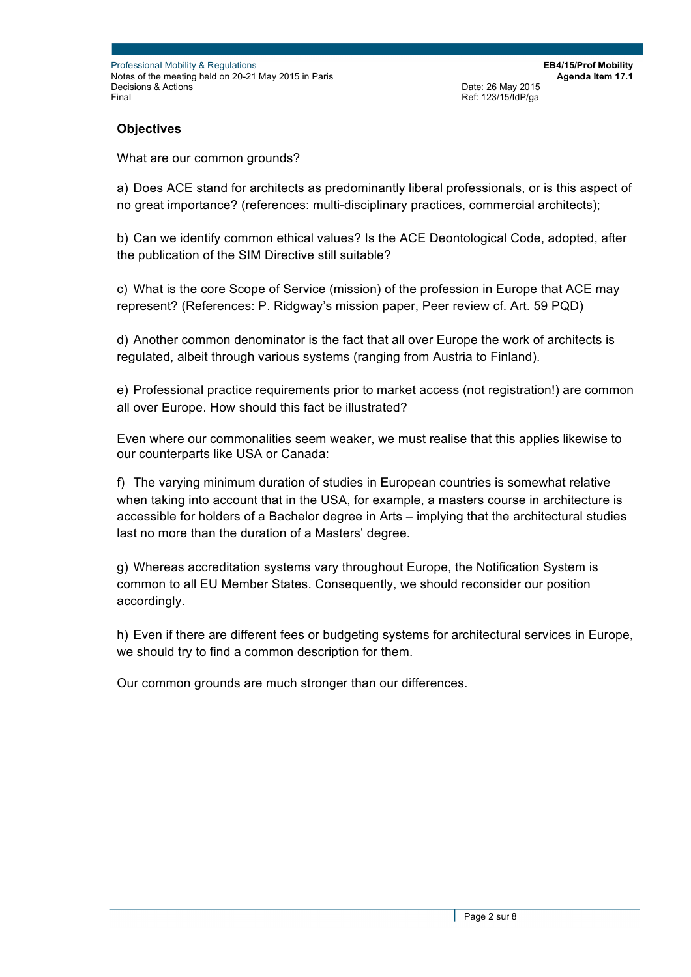**EB4/15/Prof Mobility Agenda Item 17.1** Date: 26 May 2015 Ref: 123/15/IdP/ga

**Objectives**

What are our common grounds?

a) Does ACE stand for architects as predominantly liberal professionals, or is this aspect of no great importance? (references: multi-disciplinary practices, commercial architects);

b) Can we identify common ethical values? Is the ACE Deontological Code, adopted, after the publication of the SIM Directive still suitable?

c) What is the core Scope of Service (mission) of the profession in Europe that ACE may represent? (References: P. Ridgway's mission paper, Peer review cf. Art. 59 PQD)

d) Another common denominator is the fact that all over Europe the work of architects is regulated, albeit through various systems (ranging from Austria to Finland).

e) Professional practice requirements prior to market access (not registration!) are common all over Europe. How should this fact be illustrated?

Even where our commonalities seem weaker, we must realise that this applies likewise to our counterparts like USA or Canada:

f) The varying minimum duration of studies in European countries is somewhat relative when taking into account that in the USA, for example, a masters course in architecture is accessible for holders of a Bachelor degree in Arts – implying that the architectural studies last no more than the duration of a Masters' degree.

g) Whereas accreditation systems vary throughout Europe, the Notification System is common to all EU Member States. Consequently, we should reconsider our position accordingly.

h) Even if there are different fees or budgeting systems for architectural services in Europe, we should try to find a common description for them.

Our common grounds are much stronger than our differences.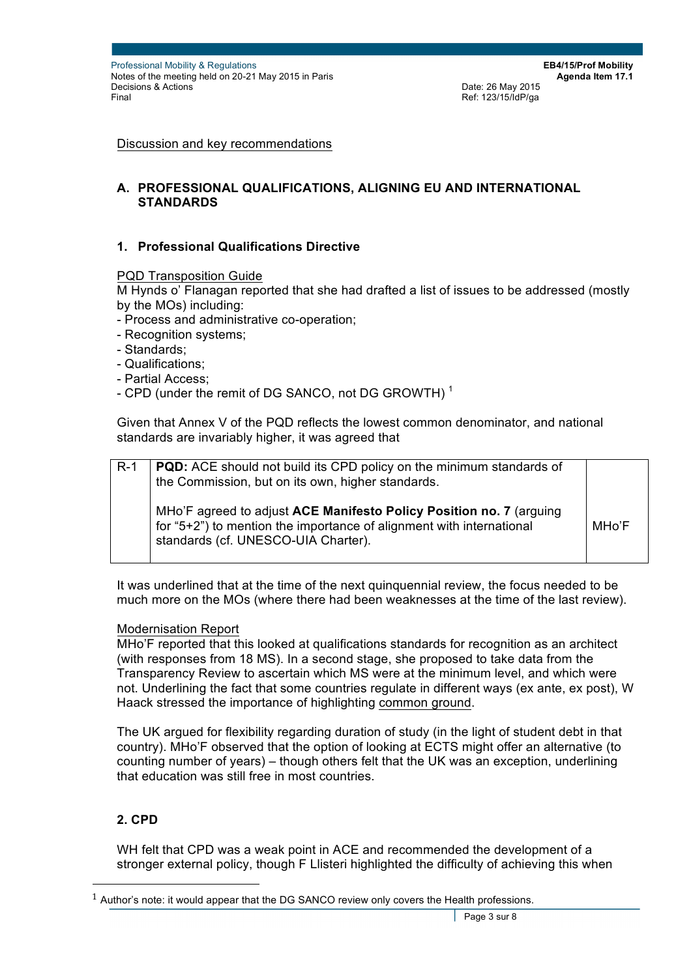Discussion and key recommendations

## **A. PROFESSIONAL QUALIFICATIONS, ALIGNING EU AND INTERNATIONAL STANDARDS**

## **1. Professional Qualifications Directive**

PQD Transposition Guide

M Hynds o' Flanagan reported that she had drafted a list of issues to be addressed (mostly by the MOs) including:

- Process and administrative co-operation;
- Recognition systems;
- Standards;
- Qualifications;
- Partial Access;
- CPD (under the remit of DG SANCO, not DG GROWTH)<sup>1</sup>

Given that Annex V of the PQD reflects the lowest common denominator, and national standards are invariably higher, it was agreed that

| $R-1$ | <b>PQD:</b> ACE should not build its CPD policy on the minimum standards of<br>the Commission, but on its own, higher standards.                                                   |       |
|-------|------------------------------------------------------------------------------------------------------------------------------------------------------------------------------------|-------|
|       | MHo'F agreed to adjust ACE Manifesto Policy Position no. 7 (arguing<br>for "5+2") to mention the importance of alignment with international<br>standards (cf. UNESCO-UIA Charter). | MHo'F |

It was underlined that at the time of the next quinquennial review, the focus needed to be much more on the MOs (where there had been weaknesses at the time of the last review).

### Modernisation Report

MHo'F reported that this looked at qualifications standards for recognition as an architect (with responses from 18 MS). In a second stage, she proposed to take data from the Transparency Review to ascertain which MS were at the minimum level, and which were not. Underlining the fact that some countries regulate in different ways (ex ante, ex post), W Haack stressed the importance of highlighting common ground.

The UK argued for flexibility regarding duration of study (in the light of student debt in that country). MHo'F observed that the option of looking at ECTS might offer an alternative (to counting number of years) – though others felt that the UK was an exception, underlining that education was still free in most countries.

### **2. CPD**

 $\overline{a}$ 

WH felt that CPD was a weak point in ACE and recommended the development of a stronger external policy, though F Llisteri highlighted the difficulty of achieving this when

 $1$  Author's note: it would appear that the DG SANCO review only covers the Health professions.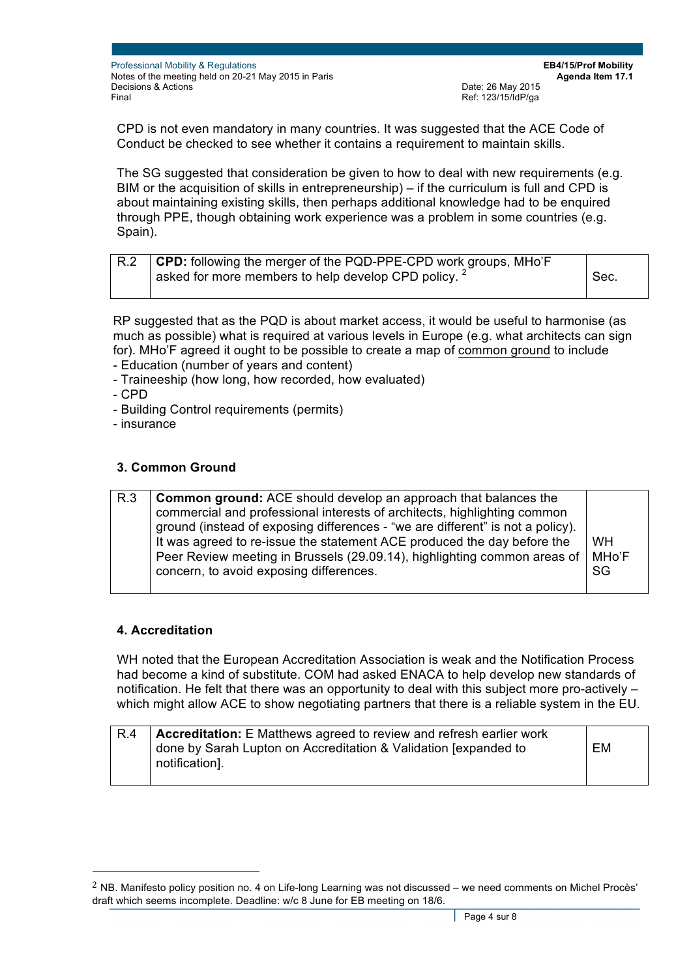**EB4/15/Prof Mobility Agenda Item 17.1** Date: 26 May 2015 Ref: 123/15/IdP/ga

CPD is not even mandatory in many countries. It was suggested that the ACE Code of Conduct be checked to see whether it contains a requirement to maintain skills.

The SG suggested that consideration be given to how to deal with new requirements (e.g. BIM or the acquisition of skills in entrepreneurship) – if the curriculum is full and CPD is about maintaining existing skills, then perhaps additional knowledge had to be enquired through PPE, though obtaining work experience was a problem in some countries (e.g. Spain).

| R.2 | <b>CPD:</b> following the merger of the PQD-PPE-CPD work groups, MHo'F |      |
|-----|------------------------------------------------------------------------|------|
|     | asked for more members to help develop CPD policy. <sup>2</sup>        | Sec. |
|     |                                                                        |      |

RP suggested that as the PQD is about market access, it would be useful to harmonise (as much as possible) what is required at various levels in Europe (e.g. what architects can sign for). MHo'F agreed it ought to be possible to create a map of common ground to include

- Education (number of years and content)
- Traineeship (how long, how recorded, how evaluated)
- CPD
- Building Control requirements (permits)
- insurance

## **3. Common Ground**

| R.3 | <b>Common ground:</b> ACE should develop an approach that balances the<br>commercial and professional interests of architects, highlighting common<br>ground (instead of exposing differences - "we are different" is not a policy).<br>It was agreed to re-issue the statement ACE produced the day before the<br>Peer Review meeting in Brussels (29.09.14), highlighting common areas of | <b>WH</b><br>MHo'F |
|-----|---------------------------------------------------------------------------------------------------------------------------------------------------------------------------------------------------------------------------------------------------------------------------------------------------------------------------------------------------------------------------------------------|--------------------|
|     | concern, to avoid exposing differences.                                                                                                                                                                                                                                                                                                                                                     | SG                 |

### **4. Accreditation**

 $\overline{a}$ 

WH noted that the European Accreditation Association is weak and the Notification Process had become a kind of substitute. COM had asked ENACA to help develop new standards of notification. He felt that there was an opportunity to deal with this subject more pro-actively – which might allow ACE to show negotiating partners that there is a reliable system in the EU.

| R.4 | Accreditation: E Matthews agreed to review and refresh earlier work |    |
|-----|---------------------------------------------------------------------|----|
|     | done by Sarah Lupton on Accreditation & Validation [expanded to     | EM |
|     | notification].                                                      |    |

 $2$  NB. Manifesto policy position no. 4 on Life-long Learning was not discussed – we need comments on Michel Procès' draft which seems incomplete. Deadline: w/c 8 June for EB meeting on 18/6.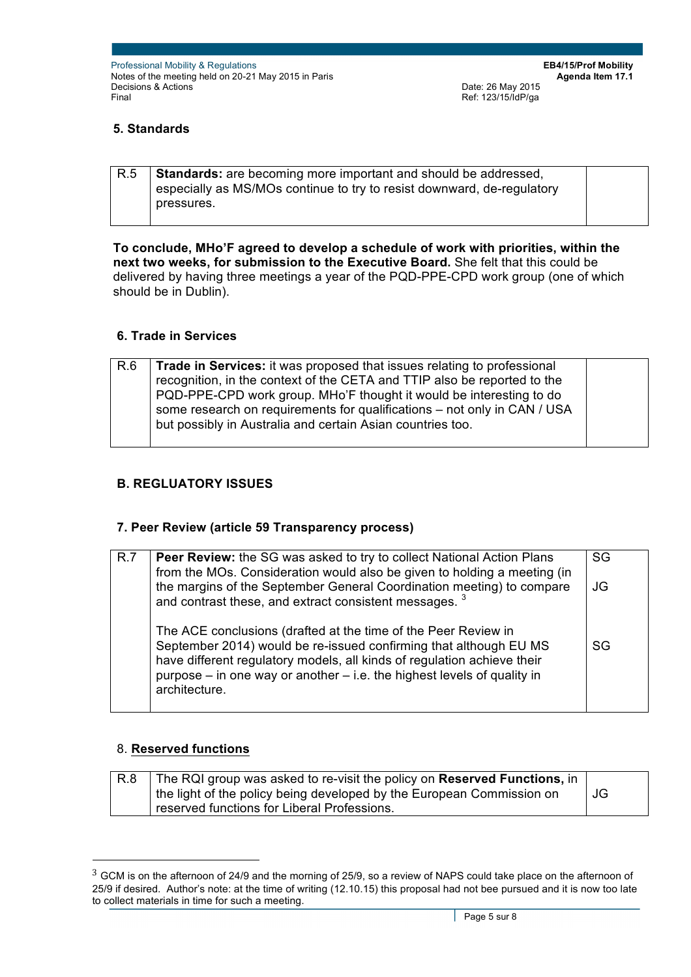**EB4/15/Prof Mobility Agenda Item 17.1** Date: 26 May 2015 Ref: 123/15/IdP/ga

# **5. Standards**

| R.5 | <b>Standards:</b> are becoming more important and should be addressed, |  |
|-----|------------------------------------------------------------------------|--|
|     | especially as MS/MOs continue to try to resist downward, de-regulatory |  |
|     | pressures.                                                             |  |
|     |                                                                        |  |

**To conclude, MHo'F agreed to develop a schedule of work with priorities, within the next two weeks, for submission to the Executive Board.** She felt that this could be delivered by having three meetings a year of the PQD-PPE-CPD work group (one of which should be in Dublin).

## **6. Trade in Services**

| R.6 | Trade in Services: it was proposed that issues relating to professional<br>recognition, in the context of the CETA and TTIP also be reported to the<br>PQD-PPE-CPD work group. MHo'F thought it would be interesting to do<br>some research on requirements for qualifications - not only in CAN / USA<br>but possibly in Australia and certain Asian countries too. |  |
|-----|----------------------------------------------------------------------------------------------------------------------------------------------------------------------------------------------------------------------------------------------------------------------------------------------------------------------------------------------------------------------|--|
|     |                                                                                                                                                                                                                                                                                                                                                                      |  |

# **B. REGLUATORY ISSUES**

### **7. Peer Review (article 59 Transparency process)**

| R.7 | <b>Peer Review:</b> the SG was asked to try to collect National Action Plans<br>from the MOs. Consideration would also be given to holding a meeting (in                                                                                                                                                       | SG |
|-----|----------------------------------------------------------------------------------------------------------------------------------------------------------------------------------------------------------------------------------------------------------------------------------------------------------------|----|
|     | the margins of the September General Coordination meeting) to compare<br>and contrast these, and extract consistent messages. <sup>3</sup>                                                                                                                                                                     | JG |
|     | The ACE conclusions (drafted at the time of the Peer Review in<br>September 2014) would be re-issued confirming that although EU MS<br>have different regulatory models, all kinds of regulation achieve their<br>purpose $-$ in one way or another $-$ i.e. the highest levels of quality in<br>architecture. | SG |

### 8. **Reserved functions**

 $\overline{a}$ 

| R.8 | The RQI group was asked to re-visit the policy on Reserved Functions, in |    |
|-----|--------------------------------------------------------------------------|----|
|     | the light of the policy being developed by the European Commission on    | JG |
|     | reserved functions for Liberal Professions.                              |    |

<sup>&</sup>lt;sup>3</sup> GCM is on the afternoon of 24/9 and the morning of 25/9, so a review of NAPS could take place on the afternoon of 25/9 if desired. Author's note: at the time of writing (12.10.15) this proposal had not bee pursued and it is now too late to collect materials in time for such a meeting.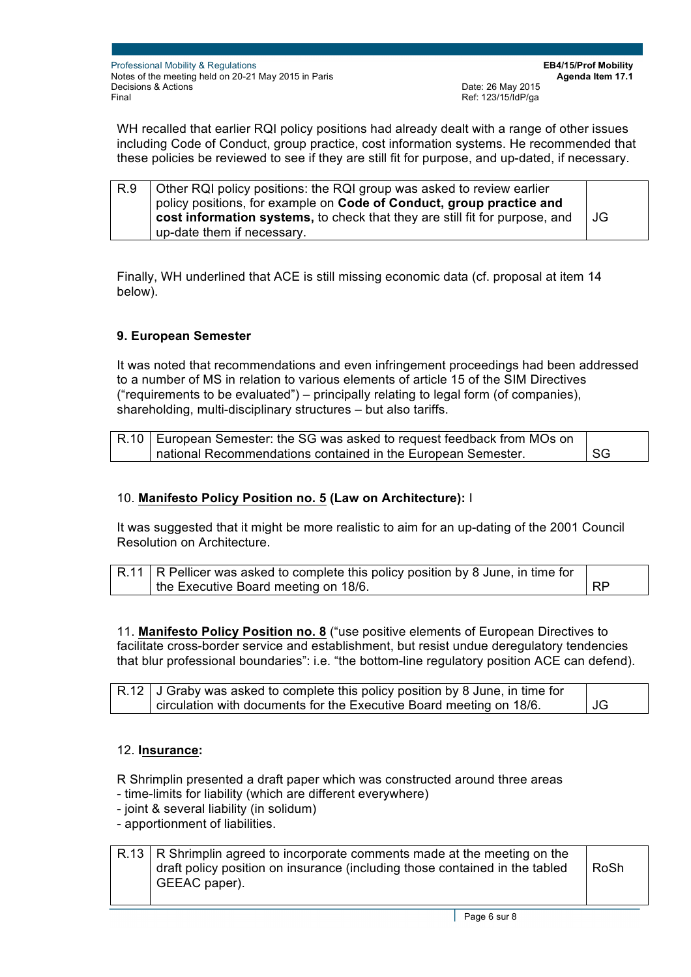**EB4/15/Prof Mobility Agenda Item 17.1** Date: 26 May 2015 Ref: 123/15/IdP/ga

WH recalled that earlier RQI policy positions had already dealt with a range of other issues including Code of Conduct, group practice, cost information systems. He recommended that these policies be reviewed to see if they are still fit for purpose, and up-dated, if necessary.

| R.9 | Other RQI policy positions: the RQI group was asked to review earlier<br>policy positions, for example on Code of Conduct, group practice and |       |
|-----|-----------------------------------------------------------------------------------------------------------------------------------------------|-------|
|     | cost information systems, to check that they are still fit for purpose, and                                                                   | I JG. |
|     | up-date them if necessary.                                                                                                                    |       |

Finally, WH underlined that ACE is still missing economic data (cf. proposal at item 14 below).

# **9. European Semester**

It was noted that recommendations and even infringement proceedings had been addressed to a number of MS in relation to various elements of article 15 of the SIM Directives ("requirements to be evaluated") – principally relating to legal form (of companies), shareholding, multi-disciplinary structures – but also tariffs.

| R.10   European Semester: the SG was asked to request feedback from MOs on |      |
|----------------------------------------------------------------------------|------|
| I national Recommendations contained in the European Semester.             | I SG |

## 10. **Manifesto Policy Position no. 5 (Law on Architecture):** I

It was suggested that it might be more realistic to aim for an up-dating of the 2001 Council Resolution on Architecture.

| $R.11$ R Pellicer was asked to complete this policy position by 8 June, in time for |           |
|-------------------------------------------------------------------------------------|-----------|
| the Executive Board meeting on 18/6.                                                | <b>RP</b> |

11. **Manifesto Policy Position no. 8** ("use positive elements of European Directives to facilitate cross-border service and establishment, but resist undue deregulatory tendencies that blur professional boundaries": i.e. "the bottom-line regulatory position ACE can defend).

| R.12   J Graby was asked to complete this policy position by 8 June, in time for |                         |
|----------------------------------------------------------------------------------|-------------------------|
| circulation with documents for the Executive Board meeting on 18/6.              | $\overline{\mathsf{J}}$ |

### 12. **Insurance:**

R Shrimplin presented a draft paper which was constructed around three areas

- time-limits for liability (which are different everywhere)
- joint & several liability (in solidum)
- apportionment of liabilities.

#### $R.13$  R Shrimplin agreed to incorporate comments made at the meeting on the draft policy position on insurance (including those contained in the tabled GEEAC paper). RoSh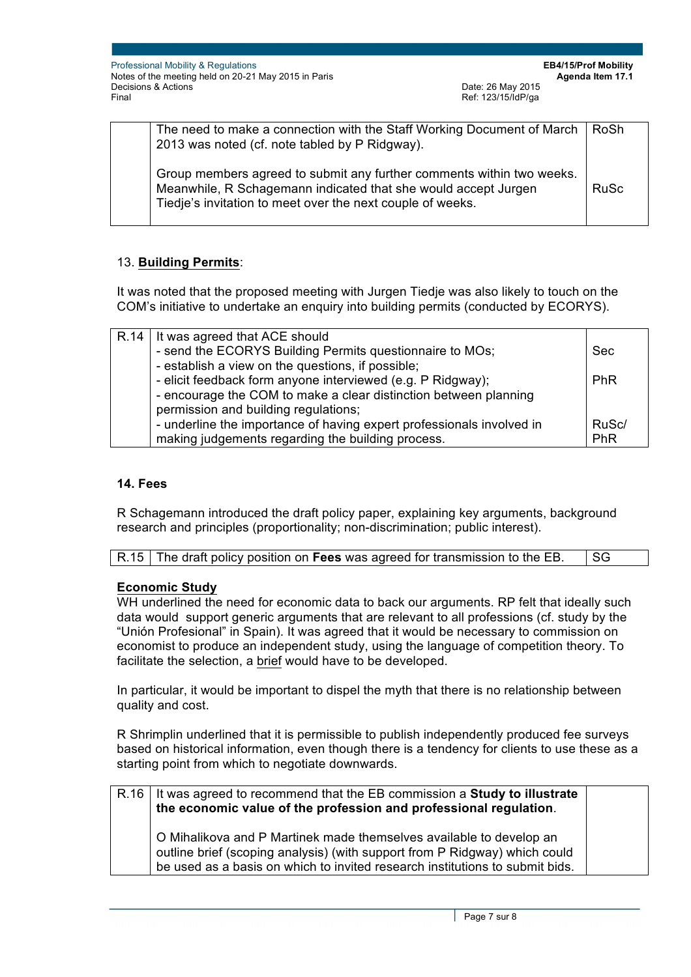| The need to make a connection with the Staff Working Document of March<br>2013 was noted (cf. note tabled by P Ridgway).                                                                              | RoSh        |
|-------------------------------------------------------------------------------------------------------------------------------------------------------------------------------------------------------|-------------|
| Group members agreed to submit any further comments within two weeks.<br>Meanwhile, R Schagemann indicated that she would accept Jurgen<br>Tiedje's invitation to meet over the next couple of weeks. | <b>RuSc</b> |

# 13. **Building Permits**:

It was noted that the proposed meeting with Jurgen Tiedje was also likely to touch on the COM's initiative to undertake an enquiry into building permits (conducted by ECORYS).

| R.14   It was agreed that ACE should                                  |            |
|-----------------------------------------------------------------------|------------|
| - send the ECORYS Building Permits questionnaire to MOs;              | <b>Sec</b> |
| - establish a view on the questions, if possible;                     |            |
| - elicit feedback form anyone interviewed (e.g. P Ridgway);           | <b>PhR</b> |
| - encourage the COM to make a clear distinction between planning      |            |
| permission and building regulations;                                  |            |
| - underline the importance of having expert professionals involved in | RuSc/      |
| making judgements regarding the building process.                     | PhR        |

## **14. Fees**

R Schagemann introduced the draft policy paper, explaining key arguments, background research and principles (proportionality; non-discrimination; public interest).

| R.15 The draft policy position on Fees was agreed for transmission to the EB. | ∣SG |
|-------------------------------------------------------------------------------|-----|
|                                                                               |     |

# **Economic Study**

WH underlined the need for economic data to back our arguments. RP felt that ideally such data would support generic arguments that are relevant to all professions (cf. study by the "Unión Profesional" in Spain). It was agreed that it would be necessary to commission on economist to produce an independent study, using the language of competition theory. To facilitate the selection, a brief would have to be developed.

In particular, it would be important to dispel the myth that there is no relationship between quality and cost.

R Shrimplin underlined that it is permissible to publish independently produced fee surveys based on historical information, even though there is a tendency for clients to use these as a starting point from which to negotiate downwards.

| R.16   It was agreed to recommend that the EB commission a <b>Study to illustrate</b><br>the economic value of the profession and professional regulation.                                                                        |  |
|-----------------------------------------------------------------------------------------------------------------------------------------------------------------------------------------------------------------------------------|--|
| O Mihalikova and P Martinek made themselves available to develop an<br>outline brief (scoping analysis) (with support from P Ridgway) which could<br>be used as a basis on which to invited research institutions to submit bids. |  |